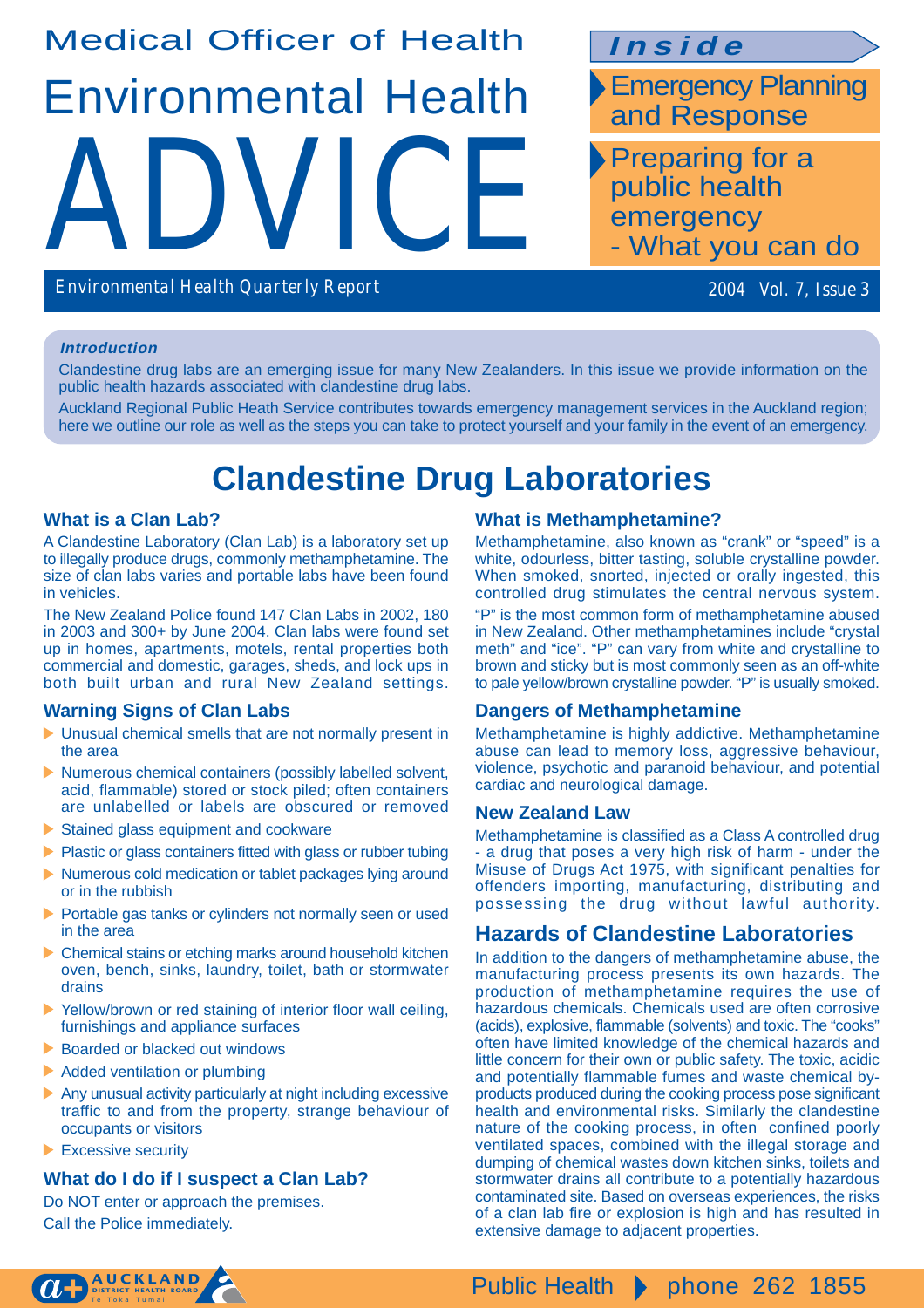# ADVICE **Medical Officer of Health Inside** Environmental Health

*Environmental Health Quarterly Report 2004 Vol. 7, Issue 3*

Emergency Planning and Response

Preparing for a public health emergency - What you can do

#### **Introduction**

Clandestine drug labs are an emerging issue for many New Zealanders. In this issue we provide information on the public health hazards associated with clandestine drug labs.

Auckland Regional Public Heath Service contributes towards emergency management services in the Auckland region; here we outline our role as well as the steps you can take to protect yourself and your family in the event of an emergency.

# **Clandestine Drug Laboratories**

#### **What is a Clan Lab?**

A Clandestine Laboratory (Clan Lab) is a laboratory set up to illegally produce drugs, commonly methamphetamine. The size of clan labs varies and portable labs have been found in vehicles.

The New Zealand Police found 147 Clan Labs in 2002, 180 in 2003 and 300+ by June 2004. Clan labs were found set up in homes, apartments, motels, rental properties both commercial and domestic, garages, sheds, and lock ups in both built urban and rural New Zealand settings.

#### **Warning Signs of Clan Labs**

- Unusual chemical smells that are not normally present in the area
- $\blacktriangleright$  Numerous chemical containers (possibly labelled solvent, acid, flammable) stored or stock piled; often containers are unlabelled or labels are obscured or removed
- Stained glass equipment and cookware
- **Plastic or glass containers fitted with glass or rubber tubing**
- Numerous cold medication or tablet packages lying around or in the rubbish
- **Portable gas tanks or cylinders not normally seen or used** in the area
- Chemical stains or etching marks around household kitchen oven, bench, sinks, laundry, toilet, bath or stormwater drains
- Yellow/brown or red staining of interior floor wall ceiling, furnishings and appliance surfaces
- ▶ Boarded or blacked out windows
- Added ventilation or plumbing
- Any unusual activity particularly at night including excessive traffic to and from the property, strange behaviour of occupants or visitors
- $\blacktriangleright$  Excessive security

#### **What do I do if I suspect a Clan Lab?**

Do NOT enter or approach the premises. Call the Police immediately.

#### **What is Methamphetamine?**

Methamphetamine, also known as "crank" or "speed" is a white, odourless, bitter tasting, soluble crystalline powder. When smoked, snorted, injected or orally ingested, this controlled drug stimulates the central nervous system.

"P" is the most common form of methamphetamine abused in New Zealand. Other methamphetamines include "crystal meth" and "ice". "P" can vary from white and crystalline to brown and sticky but is most commonly seen as an off-white to pale yellow/brown crystalline powder. "P" is usually smoked.

#### **Dangers of Methamphetamine**

Methamphetamine is highly addictive. Methamphetamine abuse can lead to memory loss, aggressive behaviour, violence, psychotic and paranoid behaviour, and potential cardiac and neurological damage.

#### **New Zealand Law**

Methamphetamine is classified as a Class A controlled drug - a drug that poses a very high risk of harm - under the Misuse of Drugs Act 1975, with significant penalties for offenders importing, manufacturing, distributing and possessing the drug without lawful authority.

### **Hazards of Clandestine Laboratories**

In addition to the dangers of methamphetamine abuse, the manufacturing process presents its own hazards. The production of methamphetamine requires the use of hazardous chemicals. Chemicals used are often corrosive (acids), explosive, flammable (solvents) and toxic. The "cooks" often have limited knowledge of the chemical hazards and little concern for their own or public safety. The toxic, acidic and potentially flammable fumes and waste chemical byproducts produced during the cooking process pose significant health and environmental risks. Similarly the clandestine nature of the cooking process, in often confined poorly ventilated spaces, combined with the illegal storage and dumping of chemical wastes down kitchen sinks, toilets and stormwater drains all contribute to a potentially hazardous contaminated site. Based on overseas experiences, the risks of a clan lab fire or explosion is high and has resulted in extensive damage to adjacent properties.



## Public Health b phone 262 1855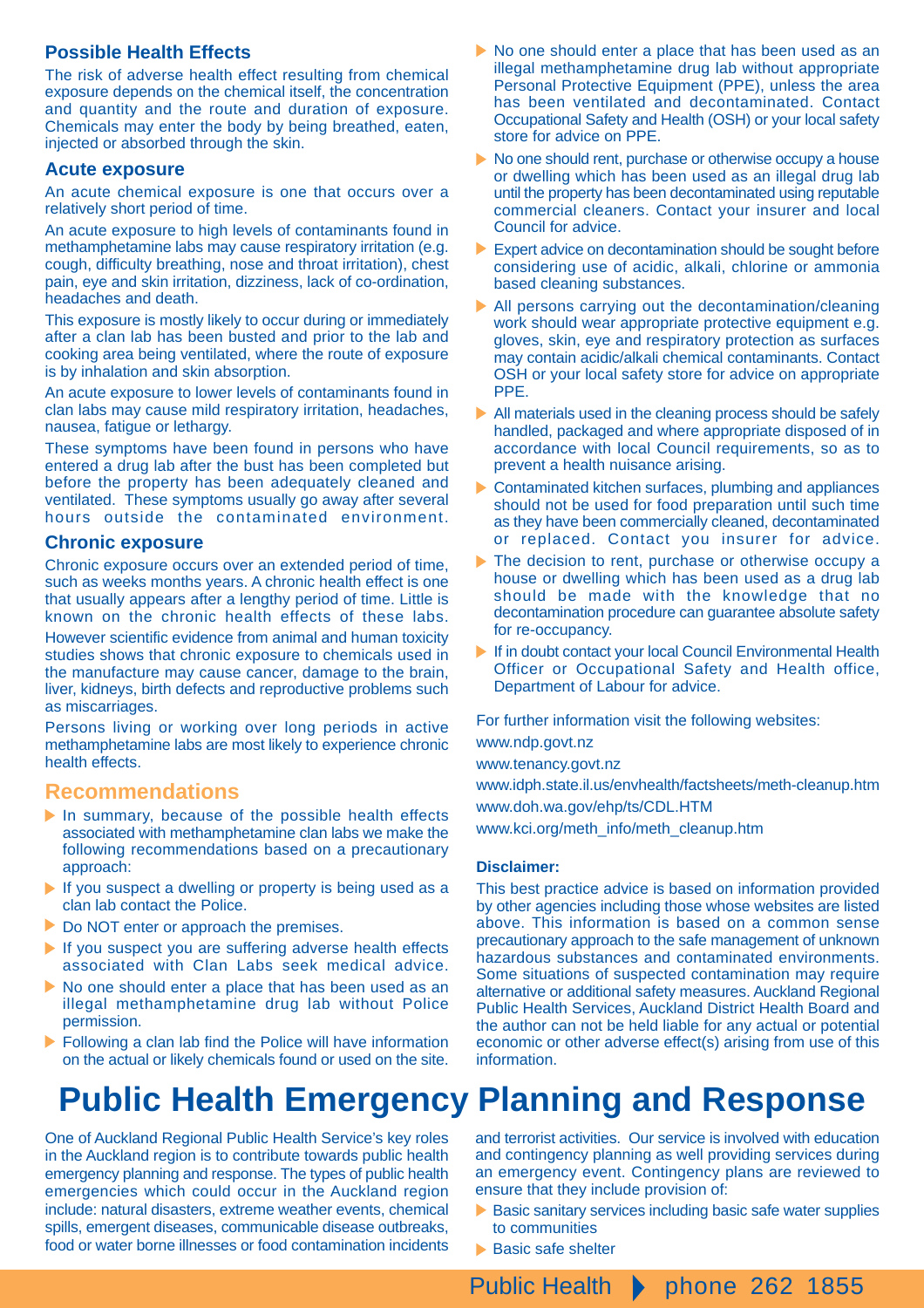#### **Possible Health Effects**

The risk of adverse health effect resulting from chemical exposure depends on the chemical itself, the concentration and quantity and the route and duration of exposure. Chemicals may enter the body by being breathed, eaten, injected or absorbed through the skin.

#### **Acute exposure**

An acute chemical exposure is one that occurs over a relatively short period of time.

An acute exposure to high levels of contaminants found in methamphetamine labs may cause respiratory irritation (e.g. cough, difficulty breathing, nose and throat irritation), chest pain, eye and skin irritation, dizziness, lack of co-ordination, headaches and death.

This exposure is mostly likely to occur during or immediately after a clan lab has been busted and prior to the lab and cooking area being ventilated, where the route of exposure is by inhalation and skin absorption.

An acute exposure to lower levels of contaminants found in clan labs may cause mild respiratory irritation, headaches, nausea, fatigue or lethargy.

These symptoms have been found in persons who have entered a drug lab after the bust has been completed but before the property has been adequately cleaned and ventilated. These symptoms usually go away after several hours outside the contaminated environment.

#### **Chronic exposure**

Chronic exposure occurs over an extended period of time, such as weeks months years. A chronic health effect is one that usually appears after a lengthy period of time. Little is known on the chronic health effects of these labs.

However scientific evidence from animal and human toxicity studies shows that chronic exposure to chemicals used in the manufacture may cause cancer, damage to the brain, liver, kidneys, birth defects and reproductive problems such as miscarriages.

Persons living or working over long periods in active methamphetamine labs are most likely to experience chronic health effects.

#### **Recommendations**

- $\blacktriangleright$  In summary, because of the possible health effects associated with methamphetamine clan labs we make the following recommendations based on a precautionary approach:
- $\blacktriangleright$ If you suspect a dwelling or property is being used as a clan lab contact the Police.
- Do NOT enter or approach the premises.
- $\blacktriangleright$  If you suspect you are suffering adverse health effects associated with Clan Labs seek medical advice.
- $\triangleright$  No one should enter a place that has been used as an illegal methamphetamine drug lab without Police permission.
- Following a clan lab find the Police will have information on the actual or likely chemicals found or used on the site.
- $\triangleright$  No one should enter a place that has been used as an illegal methamphetamine drug lab without appropriate Personal Protective Equipment (PPE), unless the area has been ventilated and decontaminated. Contact Occupational Safety and Health (OSH) or your local safety store for advice on PPE.
	- $\triangleright$  No one should rent, purchase or otherwise occupy a house or dwelling which has been used as an illegal drug lab until the property has been decontaminated using reputable commercial cleaners. Contact your insurer and local Council for advice.
	- Expert advice on decontamination should be sought before considering use of acidic, alkali, chlorine or ammonia based cleaning substances.
	- All persons carrying out the decontamination/cleaning work should wear appropriate protective equipment e.g. gloves, skin, eye and respiratory protection as surfaces may contain acidic/alkali chemical contaminants. Contact OSH or your local safety store for advice on appropriate PPE.
	- All materials used in the cleaning process should be safely handled, packaged and where appropriate disposed of in accordance with local Council requirements, so as to prevent a health nuisance arising.
	- $\triangleright$  Contaminated kitchen surfaces, plumbing and appliances should not be used for food preparation until such time as they have been commercially cleaned, decontaminated or replaced. Contact you insurer for advice.
	- The decision to rent, purchase or otherwise occupy a house or dwelling which has been used as a drug lab should be made with the knowledge that no decontamination procedure can guarantee absolute safety for re-occupancy.
	- If in doubt contact your local Council Environmental Health Officer or Occupational Safety and Health office, Department of Labour for advice.

For further information visit the following websites:

www.ndp.govt.nz

www.tenancy.govt.nz

www.idph.state.il.us/envhealth/factsheets/meth-cleanup.htm www.doh.wa.gov/ehp/ts/CDL.HTM

www.kci.org/meth\_info/meth\_cleanup.htm

#### **Disclaimer:**

This best practice advice is based on information provided by other agencies including those whose websites are listed above. This information is based on a common sense precautionary approach to the safe management of unknown hazardous substances and contaminated environments. Some situations of suspected contamination may require alternative or additional safety measures. Auckland Regional Public Health Services, Auckland District Health Board and the author can not be held liable for any actual or potential economic or other adverse effect(s) arising from use of this information.

# **Public Health Emergency Planning and Response**

One of Auckland Regional Public Health Service's key roles in the Auckland region is to contribute towards public health emergency planning and response. The types of public health emergencies which could occur in the Auckland region include: natural disasters, extreme weather events, chemical spills, emergent diseases, communicable disease outbreaks, food or water borne illnesses or food contamination incidents

and terrorist activities. Our service is involved with education and contingency planning as well providing services during an emergency event. Contingency plans are reviewed to ensure that they include provision of:

- **Basic sanitary services including basic safe water supplies** to communities
- ▶ Basic safe shelter

Public Health > phone 262 1855